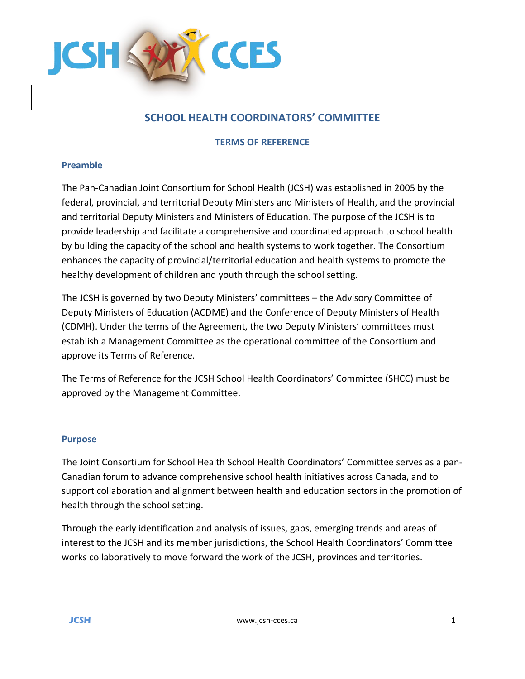

# **SCHOOL HEALTH COORDINATORS' COMMITTEE**

**TERMS OF REFERENCE**

### **Preamble**

The Pan-Canadian Joint Consortium for School Health (JCSH) was established in 2005 by the federal, provincial, and territorial Deputy Ministers and Ministers of Health, and the provincial and territorial Deputy Ministers and Ministers of Education. The purpose of the JCSH is to provide leadership and facilitate a comprehensive and coordinated approach to school health by building the capacity of the school and health systems to work together. The Consortium enhances the capacity of provincial/territorial education and health systems to promote the healthy development of children and youth through the school setting.

The JCSH is governed by two Deputy Ministers' committees – the Advisory Committee of Deputy Ministers of Education (ACDME) and the Conference of Deputy Ministers of Health (CDMH). Under the terms of the Agreement, the two Deputy Ministers' committees must establish a Management Committee as the operational committee of the Consortium and approve its Terms of Reference.

The Terms of Reference for the JCSH School Health Coordinators' Committee (SHCC) must be approved by the Management Committee.

#### **Purpose**

The Joint Consortium for School Health School Health Coordinators' Committee serves as a pan-Canadian forum to advance comprehensive school health initiatives across Canada, and to support collaboration and alignment between health and education sectors in the promotion of health through the school setting.

Through the early identification and analysis of issues, gaps, emerging trends and areas of interest to the JCSH and its member jurisdictions, the School Health Coordinators' Committee works collaboratively to move forward the work of the JCSH, provinces and territories.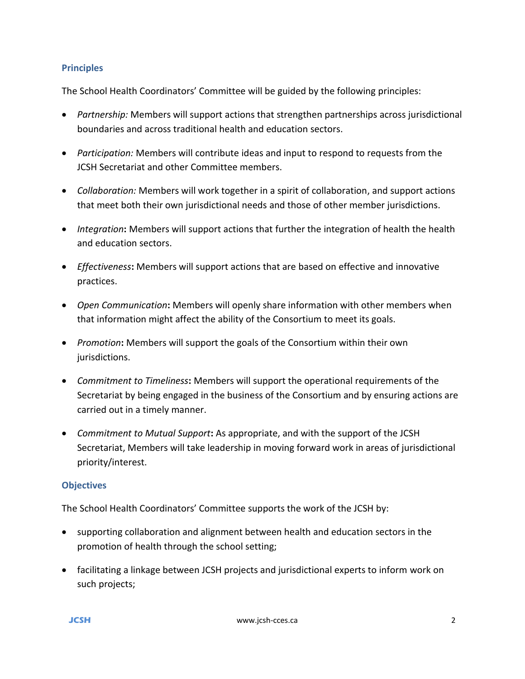### **Principles**

The School Health Coordinators' Committee will be guided by the following principles:

- *Partnership:* Members will support actions that strengthen partnerships across jurisdictional boundaries and across traditional health and education sectors.
- *Participation:* Members will contribute ideas and input to respond to requests from the JCSH Secretariat and other Committee members.
- *Collaboration:* Members will work together in a spirit of collaboration, and support actions that meet both their own jurisdictional needs and those of other member jurisdictions.
- *Integration***:** Members will support actions that further the integration of health the health and education sectors.
- *Effectiveness***:** Members will support actions that are based on effective and innovative practices.
- *Open Communication***:** Members will openly share information with other members when that information might affect the ability of the Consortium to meet its goals.
- *Promotion***:** Members will support the goals of the Consortium within their own jurisdictions.
- *Commitment to Timeliness***:** Members will support the operational requirements of the Secretariat by being engaged in the business of the Consortium and by ensuring actions are carried out in a timely manner.
- *Commitment to Mutual Support***:** As appropriate, and with the support of the JCSH Secretariat, Members will take leadership in moving forward work in areas of jurisdictional priority/interest.

# **Objectives**

The School Health Coordinators' Committee supports the work of the JCSH by:

- supporting collaboration and alignment between health and education sectors in the promotion of health through the school setting;
- facilitating a linkage between JCSH projects and jurisdictional experts to inform work on such projects;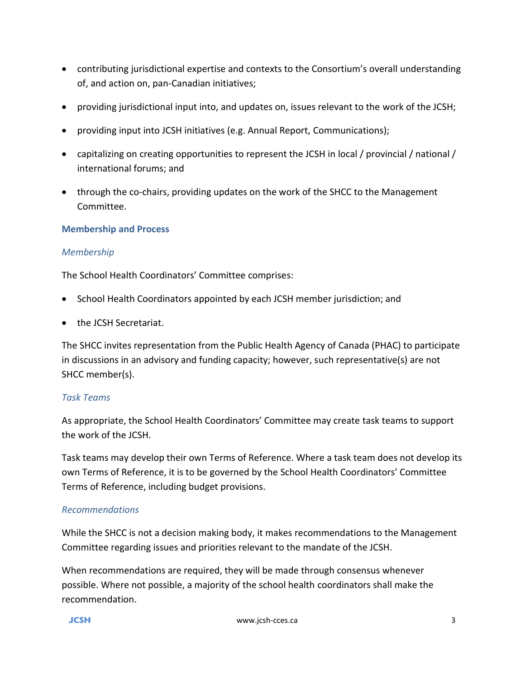- contributing jurisdictional expertise and contexts to the Consortium's overall understanding of, and action on, pan-Canadian initiatives;
- providing jurisdictional input into, and updates on, issues relevant to the work of the JCSH;
- providing input into JCSH initiatives (e.g. Annual Report, Communications);
- capitalizing on creating opportunities to represent the JCSH in local / provincial / national / international forums; and
- through the co-chairs, providing updates on the work of the SHCC to the Management Committee.

### **Membership and Process**

### *Membership*

The School Health Coordinators' Committee comprises:

- School Health Coordinators appointed by each JCSH member jurisdiction; and
- the JCSH Secretariat.

The SHCC invites representation from the Public Health Agency of Canada (PHAC) to participate in discussions in an advisory and funding capacity; however, such representative(s) are not SHCC member(s).

#### *Task Teams*

As appropriate, the School Health Coordinators' Committee may create task teams to support the work of the JCSH.

Task teams may develop their own Terms of Reference. Where a task team does not develop its own Terms of Reference, it is to be governed by the School Health Coordinators' Committee Terms of Reference, including budget provisions.

#### *Recommendations*

While the SHCC is not a decision making body, it makes recommendations to the Management Committee regarding issues and priorities relevant to the mandate of the JCSH.

When recommendations are required, they will be made through consensus whenever possible. Where not possible, a majority of the school health coordinators shall make the recommendation.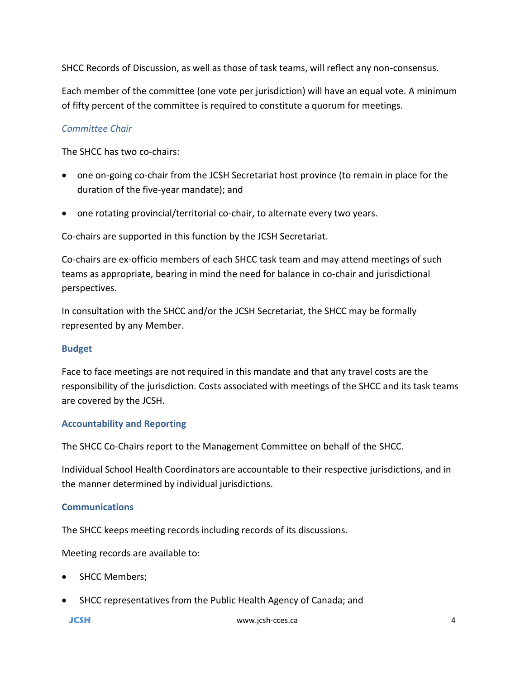SHCC Records of Discussion, as well as those of task teams, will reflect any non-consensus.

Each member of the committee (one vote per jurisdiction) will have an equal vote. A minimum of fifty percent of the committee is required to constitute a quorum for meetings.

# *Committee Chair*

The SHCC has two co-chairs:

- one on-going co-chair from the JCSH Secretariat host province (to remain in place for the duration of the five-year mandate); and
- one rotating provincial/territorial co-chair, to alternate every two years.

Co-chairs are supported in this function by the JCSH Secretariat.

Co-chairs are ex-officio members of each SHCC task team and may attend meetings of such teams as appropriate, bearing in mind the need for balance in co-chair and jurisdictional perspectives.

In consultation with the SHCC and/or the JCSH Secretariat, the SHCC may be formally represented by any Member.

# **Budget**

Face to face meetings are not required in this mandate and that any travel costs are the responsibility of the jurisdiction. Costs associated with meetings of the SHCC and its task teams are covered by the JCSH.

# **Accountability and Reporting**

The SHCC Co-Chairs report to the Management Committee on behalf of the SHCC.

Individual School Health Coordinators are accountable to their respective jurisdictions, and in the manner determined by individual jurisdictions.

# **Communications**

The SHCC keeps meeting records including records of its discussions.

Meeting records are available to:

- SHCC Members;
- SHCC representatives from the Public Health Agency of Canada; and